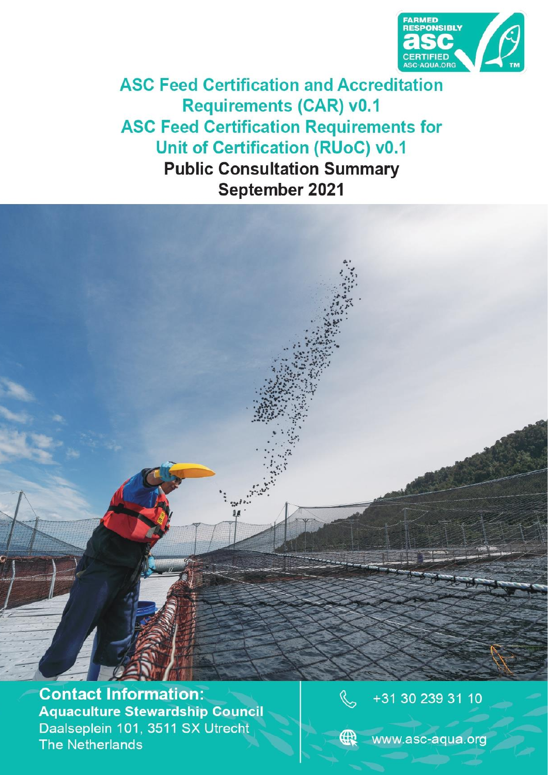

**ASC Feed Certification and Accreditation Requirements (CAR) v0.1 ASC Feed Certification Requirements for Unit of Certification (RUoC) v0.1 Public Consultation Summary** September 2021

**Contact Information:** *ASC Certification and Accreditation Requirements (CAR) v0.1 - draft ASC Requirements for Unit of Certification (RUoC) v0.1 - draft* **The Netherlands** 



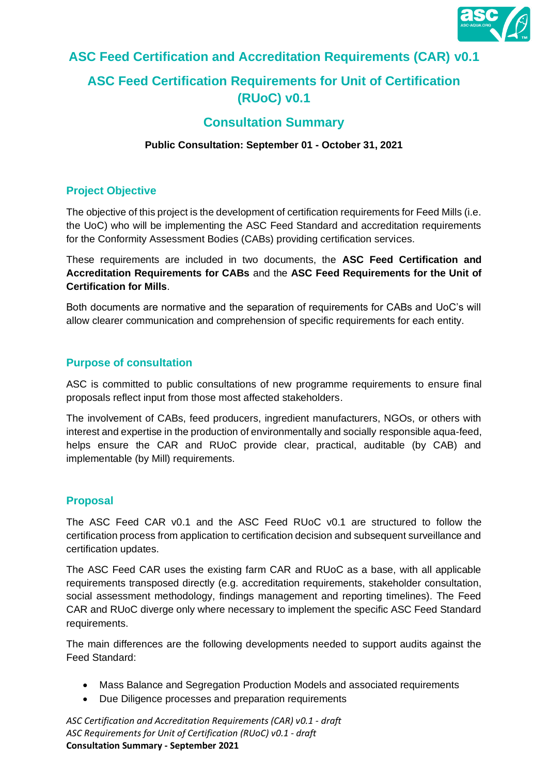

# **ASC Feed Certification and Accreditation Requirements (CAR) v0.1**

# **ASC Feed Certification Requirements for Unit of Certification (RUoC) v0.1**

# **Consultation Summary**

#### **Public Consultation: September 01 - October 31, 2021**

## **Project Objective**

The objective of this project is the development of certification requirements for Feed Mills (i.e. the UoC) who will be implementing the ASC Feed Standard and accreditation requirements for the Conformity Assessment Bodies (CABs) providing certification services.

These requirements are included in two documents, the **ASC Feed Certification and Accreditation Requirements for CABs** and the **ASC Feed Requirements for the Unit of Certification for Mills**.

Both documents are normative and the separation of requirements for CABs and UoC's will allow clearer communication and comprehension of specific requirements for each entity.

## **Purpose of consultation**

ASC is committed to public consultations of new programme requirements to ensure final proposals reflect input from those most affected stakeholders.

The involvement of CABs, feed producers, ingredient manufacturers, NGOs, or others with interest and expertise in the production of environmentally and socially responsible aqua-feed, helps ensure the CAR and RUoC provide clear, practical, auditable (by CAB) and implementable (by Mill) requirements.

#### **Proposal**

The ASC Feed CAR v0.1 and the ASC Feed RUoC v0.1 are structured to follow the certification process from application to certification decision and subsequent surveillance and certification updates.

The ASC Feed CAR uses the existing farm CAR and RUoC as a base, with all applicable requirements transposed directly (e.g. accreditation requirements, stakeholder consultation, social assessment methodology, findings management and reporting timelines). The Feed CAR and RUoC diverge only where necessary to implement the specific ASC Feed Standard requirements.

The main differences are the following developments needed to support audits against the Feed Standard:

- Mass Balance and Segregation Production Models and associated requirements
- Due Diligence processes and preparation requirements

*ASC Certification and Accreditation Requirements (CAR) v0.1 - draft ASC Requirements for Unit of Certification (RUoC) v0.1 - draft* **Consultation Summary - September 2021**